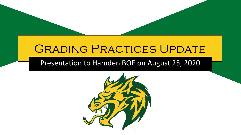# **GRADING PRACTICES UPDATE**

#### Presentation to Hamden BOE on August 25, 2020

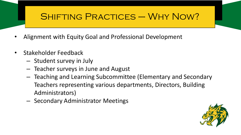# SHIFTING PRACTICES – WHY NOW?

- Alignment with Equity Goal and Professional Development
- Stakeholder Feedback
	- Student survey in July
	- Teacher surveys in June and August
	- Teaching and Learning Subcommittee (Elementary and Secondary Teachers representing various departments, Directors, Building Administrators)
	- Secondary Administrator Meetings

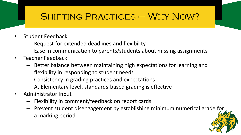# SHIFTING PRACTICES – WHY NOW?

- Student Feedback
	- Request for extended deadlines and flexibility
	- Ease in communication to parents/students about missing assignments
- Teacher Feedback
	- Better balance between maintaining high expectations for learning and flexibility in responding to student needs
	- Consistency in grading practices and expectations
	- At Elementary level, standards-based grading is effective
- Administrator Input
	- Flexibility in comment/feedback on report cards
	- Prevent student disengagement by establishing minimum numerical grade for a marking period

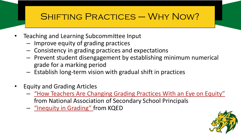# SHIFTING PRACTICES – WHY NOW?

- Teaching and Learning Subcommittee Input
	- Improve equity of grading practices
	- Consistency in grading practices and expectations
	- Prevent student disengagement by establishing minimum numerical grade for a marking period
	- Establish long-term vision with gradual shift in practices
- Equity and Grading Articles
	- ["How Teachers Are Changing Grading Practices With an Eye on Equity"](https://www.nassp.org/2018/12/01/inequity-in-grading/)  from National Association of Secondary School Principals
	- ["Inequity in Grading"](https://www.kqed.org/mindshift/52813/how-teachers-are-changing-grading-practices-with-an-eye-on-equity) from KQED

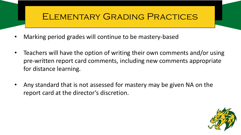#### Elementary Grading Practices

- Marking period grades will continue to be mastery-based
- Teachers will have the option of writing their own comments and/or using pre-written report card comments, including new comments appropriate for distance learning.
- Any standard that is not assessed for mastery may be given NA on the report card at the director's discretion.

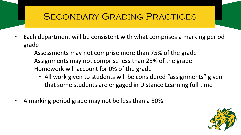#### Secondary Grading Practices

- Each department will be consistent with what comprises a marking period grade
	- Assessments may not comprise more than 75% of the grade
	- Assignments may not comprise less than 25% of the grade
	- Homework will account for 0% of the grade
		- All work given to students will be considered "assignments" given that some students are engaged in Distance Learning full time
- A marking period grade may not be less than a 50%

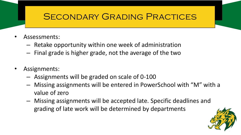#### SECONDARY GRADING PRACTICES

- Assessments:
	- Retake opportunity within one week of administration
	- Final grade is higher grade, not the average of the two
- Assignments:
	- Assignments will be graded on scale of 0-100
	- Missing assignments will be entered in PowerSchool with "M" with a value of zero
	- Missing assignments will be accepted late. Specific deadlines and grading of late work will be determined by departments